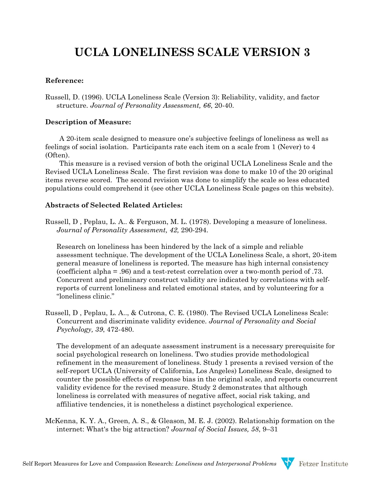# **UCLA LONELINESS SCALE VERSION 3**

## **Reference:**

Russell, D. (1996). UCLA Loneliness Scale (Version 3): Reliability, validity, and factor structure. *Journal of Personality Assessment, 66*, 20-40.

## **Description of Measure:**

A 20-item scale designed to measure one's subjective feelings of loneliness as well as feelings of social isolation. Participants rate each item on a scale from 1 (Never) to 4 (Often).

This measure is a revised version of both the original UCLA Loneliness Scale and the Revised UCLA Loneliness Scale. The first revision was done to make 10 of the 20 original items reverse scored. The second revision was done to simplify the scale so less educated populations could comprehend it (see other UCLA Loneliness Scale pages on this website).

# **Abstracts of Selected Related Articles:**

Russell, D , Peplau, L. A.. & Ferguson, M. L. (1978). Developing a measure of loneliness. *Journal of Personality Assessment, 42,* 290-294.

Research on loneliness has been hindered by the lack of a simple and reliable assessment technique. The development of the UCLA Loneliness Scale, a short, 20-item general measure of loneliness is reported. The measure has high internal consistency (coefficient alpha = .96) and a test-retest correlation over a two-month period of .73. Concurrent and preliminary construct validity are indicated by correlations with selfreports of current loneliness and related emotional states, and by volunteering for a "loneliness clinic."

Russell, D , Peplau, L. A.., & Cutrona, C. E. (1980). The Revised UCLA Loneliness Scale: Concurrent and discriminate validity evidence. *Journal of Personality and Social Psychology, 39*, 472-480.

The development of an adequate assessment instrument is a necessary prerequisite for social psychological research on loneliness. Two studies provide methodological refinement in the measurement of loneliness. Study 1 presents a revised version of the self-report UCLA (University of California, Los Angeles) Loneliness Scale, designed to counter the possible effects of response bias in the original scale, and reports concurrent validity evidence for the revised measure. Study 2 demonstrates that although loneliness is correlated with measures of negative affect, social risk taking, and affiliative tendencies, it is nonetheless a distinct psychological experience.

McKenna, K. Y. A., Green, A. S., & Gleason, M. E. J. (2002). Relationship formation on the internet: What's the big attraction? *Journal of Social Issues, 58*, 9–31